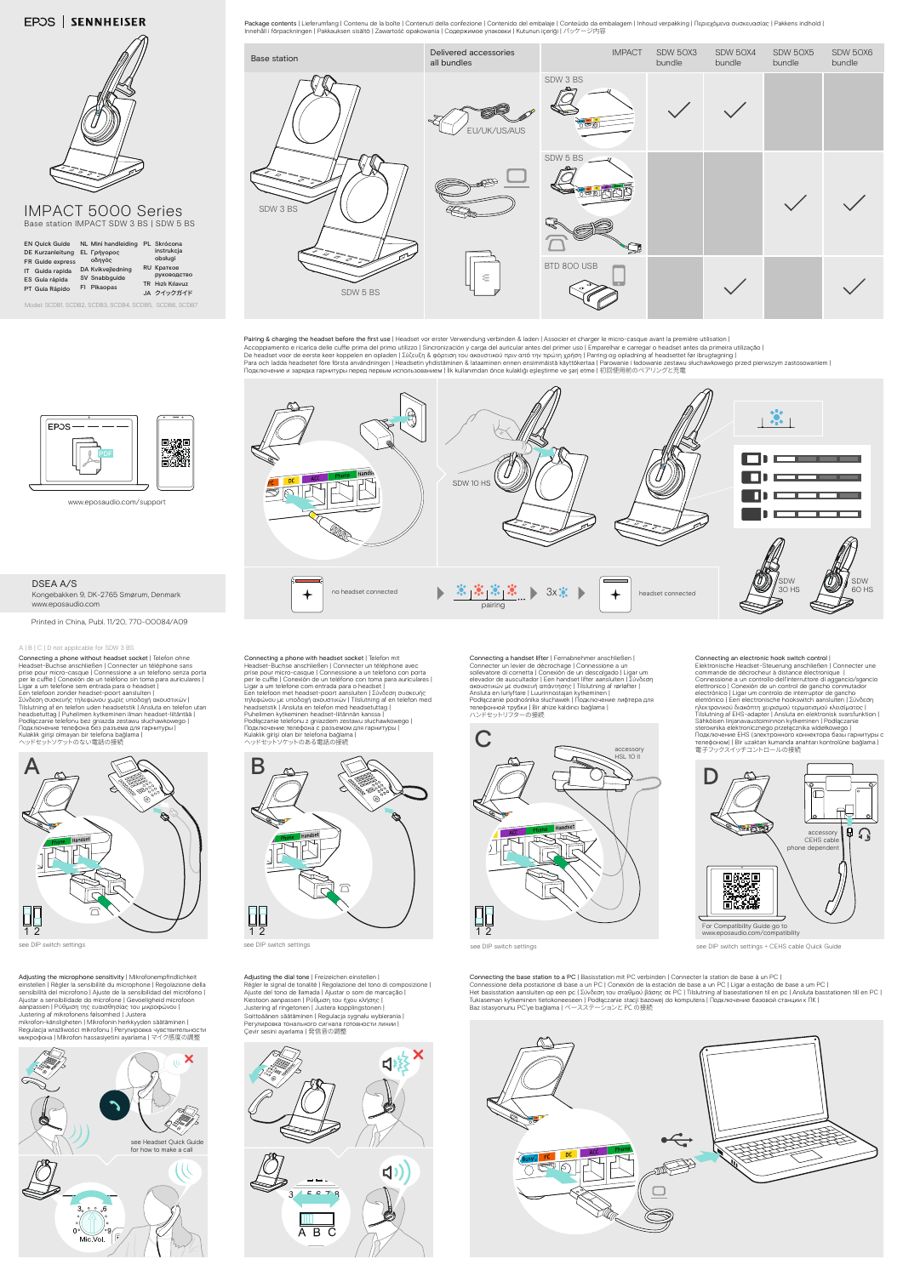www.eposaudio.com/support

## DSEA A/S

Kongebakken 9, DK-2765 Smørum, Denmark www.eposaudio.com



## **EPOS | SENNHEISER**



IMPACT 5000 Series Base station IMPACT SDW 3 BS | SDW 5 BS

Model: SCDB1, SCDB2, SCDB3, SCDB4, SCDB5, SCDB6, SCDB7

see DIP switch settings

Connecting an electronic hook switch control |<br>Elektronische Headset-Steuerung anschließen | Connecter une<br>commande de décrocheur à distance électronique |<br>Connessione a un controllo dell'interruttore di aggancio/sgancio elettronico | Conexión de un control de gancho commutador<br>electrónico | Ligar um controlo de interruptor de gancho<br>eletrónico | Een electronische hookswitch aansluiten | Σύνδεση<br>ηλεκτρονικού διακόπτη χειρισμού τερματισμού sterownika elektronicznego przełącznika widełkowego |<br>Подключение EHS (электронного коннектора базы гарнитуры с<br>телефоном) | Bir uzaktan kumanda anahtarı kontrolüne bağlama | 電子フックスイッチコントロールの接続





Pairing & charging the headset before the first use | Headset vor erster Verwendung verbinden & laden | Associer et charger le micro-casque avant la première utilisation |<br>Accoppiamento e ricarica delle cuffie prima del pr De headset voor de eerste keer koppelen en opladen | Σύζευξη & φόρτιση του ακουστικού πριν από την πρώτη χρήση | Parring og opladning af headsettet før ibrugtagning |<br>Para och ladda headsetet före första användningen |





Connecting a handset lifter | Fernabnehmer anschließen |<br>Connecter un levier de décrochage | Connessione a un<br>sollevatore di cornetta | Conexión de un descolgado | Ligar um<br>elevador de auscultador | Een handset lifter aan ακουστικών με συσκευή απάντησης | Tilslutning af rørløfter |<br>Ansluta en lurlyftare | Luurinnostajan kytkeminen |<br>Podłączanie podnośnika słuchawek | Ποдключение лифтера для<br>телефонной трубки | Bir ahize kaldırıcı bağlama | ハンドセットリフターの接続





## A | B | C | D not applicable for SDW 3 BS

Connecting a phone without headset socket | Telefon ohne<br>Headset-Buchse anschließen | Connecter un téléphone sans<br>prise pour micro-casque | Connessione a un telefono senza porta<br>per le cuffie | Conexión de un teléfono sin Ligar a um telefone sem entrada para o headset |<br>Een telefoon zonder headset-poort aansluiten |<br>Σύνδεση συσκευής τηλεφώνου χωρίς υποδοχή ακουστικών |<br>Tilslutning af en telefon uden headsetstik | Ansluta en telefon utan headsetuttag | Puhelimen kytkeminen ilman headset-liitäntää |<br>Podłączanie telefonu bez gniazda zestawu słuchawkowego |<br>Подключение телефона без разъема для гарнитуры |<br>Киlаklık girişi olmayan bir telefona bağlama | ヘッドセットソケットのない電話の接続





see DIP switch settings + CEHS cable Quick Guide

Adjusting the dial tone | Freizeichen einstellen | Régler le signal de tonalité | Regolazione del tono di composizione | Ajuste del tono de llamada | Ajustar o som de marcação | Kiestoon aanpassen | Ρύθμιση του ήχου κλήσης | Justering af ringetonen | Justera kopplingstonen | Soittoäänen säätäminen | Regulacja sygnału wybierania | Регулировка тонального сигнала готовности линии |<br>Çevir sesini ayarlama | 発信音の調整

Adjusting the microphone sensitivity | Mikrofonempfindlichkeit einstellen | Régler la sensibilité du microphone | Regolazione della<br>sensibilità del microfono | Ajuste de la sensibilidad del micrófono |<br>Ajustar a sensibilidade do microfone | Gevoeligheid microfoon aanpassen | Ρύθμιση της ευαισθησίας του μικροφώνου | Justering af mikrofonens følsomhed | Justera mikrofon-känsligheten | Mikrofonin herkkyyden säätäminen | Regulacja wrażliwości mikrofonu | Регулировка чувствительности<br>микрофона | Mikrofon hassasiyetini ayarlama | マイク感度の調整 Connecting the base station to a PC | Basisstation mit PC verbinden | Connecter la station de base à un PC | Connessione della postazione di base a un PC | Conexión de la estación de base a un PC | Ligar a estação de base a um PC |<br>Het basisstation aansluiten op een pc | Σύνδεση του σταθμού βάσης σε PC | Tilslutning af basestati Baz istasyonunu PC'ye bağlama | ベースステーションと PC の接続



Connecting a phone with headset socket | Telefon mit Headset-Buchse anschließen | Connecter un téléphone avec prise pour micro-casque | Connessione a un telefono con porta per le cuffie | Conexión de un teléfono con toma para auriculares |<br>Ligar a um telefone com entrada para o headset |<br>Een telefoon met headset-poort aansluiten | Σύνδεση συσκευής<br>τηλεφώνου με υποδοχή ακουστικών | Tilslutni ヘッドセットソケットのある電話の接続

Package contents | Lieferumfang | Contenu de la boîte | Contenuti della confezione | Contenido del embalaje | Conteúdo da embalagem | Inhoud verpakking | Περιεχόμενα συσκευασίας | Pakkens indhold | Innehåll i förpackningen | Pakkauksen sisältö | Zawartość opakowania | Содержимое упаковки | Kutunun içeriği | パッケージ内容

Printed in China, Publ. 11/20, 770-00084/A09